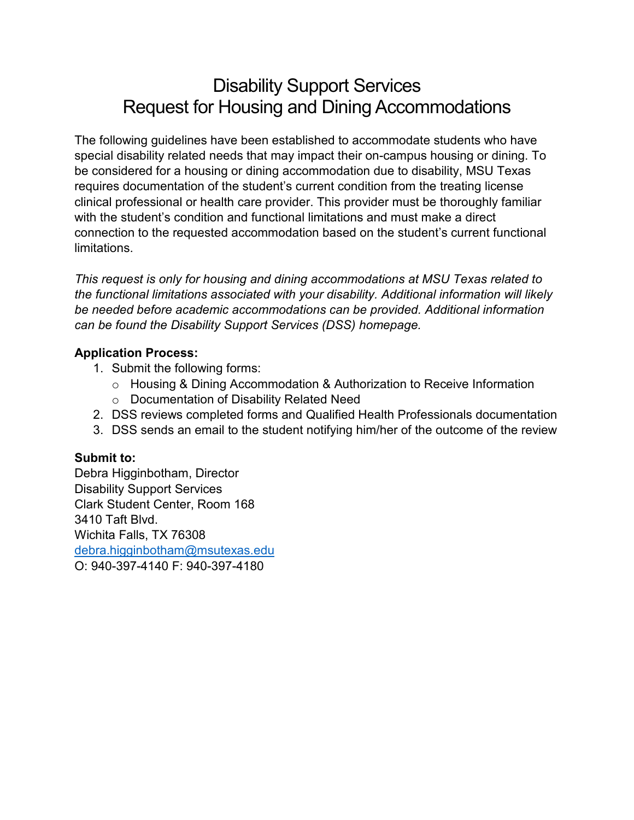# Disability Support Services Request for Housing and Dining Accommodations

The following guidelines have been established to accommodate students who have special disability related needs that may impact their on-campus housing or dining. To be considered for a housing or dining accommodation due to disability, MSU Texas requires documentation of the student's current condition from the treating license clinical professional or health care provider. This provider must be thoroughly familiar with the student's condition and functional limitations and must make a direct connection to the requested accommodation based on the student's current functional limitations.

*This request is only for housing and dining accommodations at MSU Texas related to the functional limitations associated with your disability. Additional information will likely be needed before academic accommodations can be provided. Additional information can be found the Disability Support Services (DSS) homepage.*

#### **Application Process:**

- 1. Submit the following forms:
	- $\circ$  Housing & Dining Accommodation & Authorization to Receive Information
	- o Documentation of Disability Related Need
- 2. DSS reviews completed forms and Qualified Health Professionals documentation
- 3. DSS sends an email to the student notifying him/her of the outcome of the review

### **Submit to:**

Debra Higginbotham, Director Disability Support Services Clark Student Center, Room 168 3410 Taft Blvd. Wichita Falls, TX 76308 [debra.higginbotham@msutexas.edu](mailto:debra.higginbotham@msutexas.edu) O: 940-397-4140 F: 940-397-4180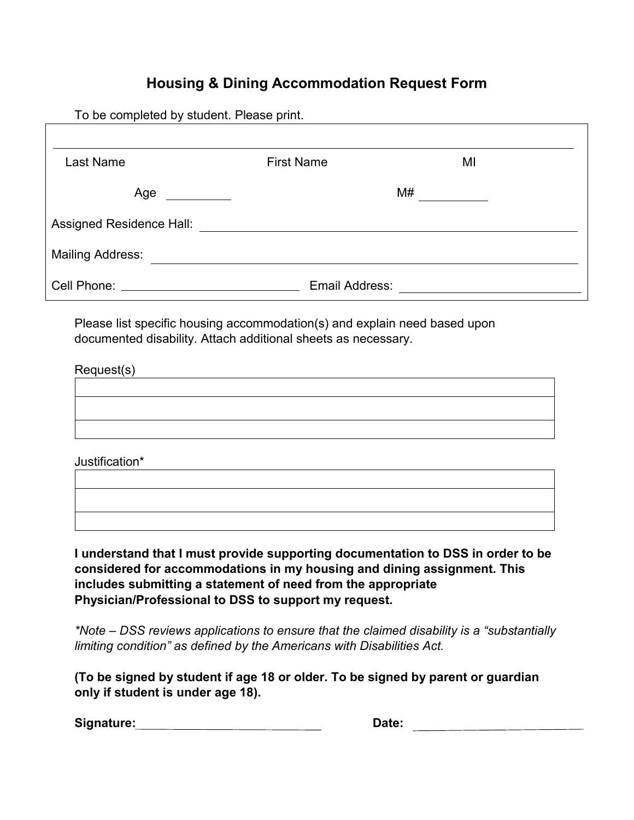## **Housing & Dining Accommodation Request Form**

To be completed by student. Please print.

| Last Name                                                                                                                                                                                                                          | <b>First Name</b> | MI |
|------------------------------------------------------------------------------------------------------------------------------------------------------------------------------------------------------------------------------------|-------------------|----|
| Age                                                                                                                                                                                                                                |                   | M# |
| Assigned Residence Hall:                                                                                                                                                                                                           |                   |    |
| <b>Mailing Address:</b>                                                                                                                                                                                                            |                   |    |
| <b>Cell Phone:</b> The Contract of the Contract of the Contract of the Contract of the Contract of the Contract of the Contract of the Contract of the Contract of the Contract of the Contract of the Contract of the Contract of | Email Address:    |    |

Please list specific housing accommodation(s) and explain need based upon documented disability. Attach additional sheets as necessary.

| Request(s) |  |  |  |
|------------|--|--|--|
|            |  |  |  |
|            |  |  |  |
|            |  |  |  |
|            |  |  |  |

Justification\*

**I understand that I must provide supporting documentation to DSS in order to be considered for accommodations in my housing and dining assignment. This includes submitting a statement of need from the appropriate Physician/Professional to DSS to support my request.** 

*\*Note – DSS reviews applications to ensure that the claimed disability is a "substantially limiting condition" as defined by the Americans with Disabilities Act.*

**(To be signed by student if age 18 or older. To be signed by parent or guardian only if student is under age 18).**

| Signature: | Date: |
|------------|-------|
|            |       |

| Date: |  |  |  |  |
|-------|--|--|--|--|
|       |  |  |  |  |